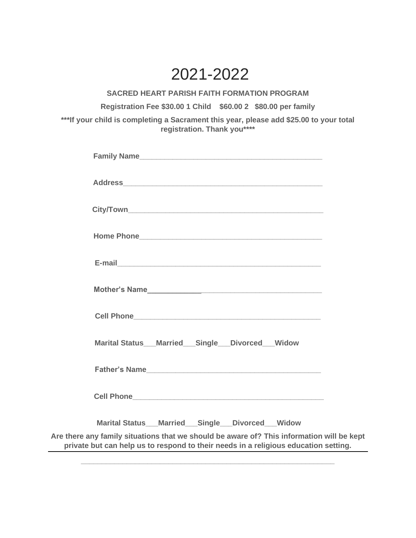## 2021-2022

**SACRED HEART PARISH FAITH FORMATION PROGRAM**

**Registration Fee \$30.00 1 Child \$60.00 2 \$80.00 per family**

**\*\*\*If your child is completing a Sacrament this year, please add \$25.00 to your total registration. Thank you\*\*\*\***

| Marital Status_Married_Single_Divorced_Widow                                                                                                                                     |  |  |  |  |  |
|----------------------------------------------------------------------------------------------------------------------------------------------------------------------------------|--|--|--|--|--|
|                                                                                                                                                                                  |  |  |  |  |  |
|                                                                                                                                                                                  |  |  |  |  |  |
| Marital Status___Married___Single___Divorced___Widow                                                                                                                             |  |  |  |  |  |
| Are there any family situations that we should be aware of? This information will be kept<br>private but can help us to respond to their needs in a religious education setting. |  |  |  |  |  |

**\_\_\_\_\_\_\_\_\_\_\_\_\_\_\_\_\_\_\_\_\_\_\_\_\_\_\_\_\_\_\_\_\_\_\_\_\_\_\_\_\_\_\_\_\_\_\_\_\_\_\_\_\_\_\_\_\_\_\_\_\_**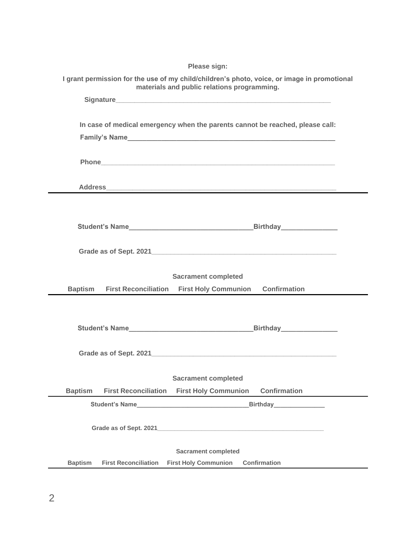|                                                                                                                                            | Please sign:                |                                                                               |                     |  |  |
|--------------------------------------------------------------------------------------------------------------------------------------------|-----------------------------|-------------------------------------------------------------------------------|---------------------|--|--|
| I grant permission for the use of my child/children's photo, voice, or image in promotional<br>materials and public relations programming. |                             |                                                                               |                     |  |  |
|                                                                                                                                            |                             |                                                                               |                     |  |  |
|                                                                                                                                            |                             |                                                                               |                     |  |  |
|                                                                                                                                            |                             | In case of medical emergency when the parents cannot be reached, please call: |                     |  |  |
|                                                                                                                                            |                             |                                                                               |                     |  |  |
|                                                                                                                                            |                             |                                                                               |                     |  |  |
|                                                                                                                                            |                             |                                                                               |                     |  |  |
|                                                                                                                                            |                             |                                                                               |                     |  |  |
|                                                                                                                                            |                             |                                                                               |                     |  |  |
|                                                                                                                                            |                             |                                                                               |                     |  |  |
|                                                                                                                                            |                             |                                                                               |                     |  |  |
|                                                                                                                                            |                             |                                                                               |                     |  |  |
|                                                                                                                                            |                             |                                                                               |                     |  |  |
|                                                                                                                                            |                             | <b>Sacrament completed</b>                                                    |                     |  |  |
| <b>Baptism</b>                                                                                                                             | <b>First Reconciliation</b> | <b>First Holy Communion</b>                                                   | <b>Confirmation</b> |  |  |
|                                                                                                                                            |                             |                                                                               |                     |  |  |
|                                                                                                                                            |                             |                                                                               |                     |  |  |
|                                                                                                                                            |                             |                                                                               |                     |  |  |
|                                                                                                                                            |                             |                                                                               |                     |  |  |
|                                                                                                                                            |                             |                                                                               |                     |  |  |
|                                                                                                                                            |                             | <b>Sacrament completed</b>                                                    |                     |  |  |
| <b>Baptism</b>                                                                                                                             | <b>First Reconciliation</b> | <b>First Holy Communion</b>                                                   | <b>Confirmation</b> |  |  |
|                                                                                                                                            |                             | Student's Name                                                                |                     |  |  |
|                                                                                                                                            |                             |                                                                               |                     |  |  |
|                                                                                                                                            |                             |                                                                               |                     |  |  |
| <b>Sacrament completed</b><br><b>Confirmation</b>                                                                                          |                             |                                                                               |                     |  |  |
| <b>Baptism</b>                                                                                                                             | <b>First Reconciliation</b> | <b>First Holy Communion</b>                                                   |                     |  |  |